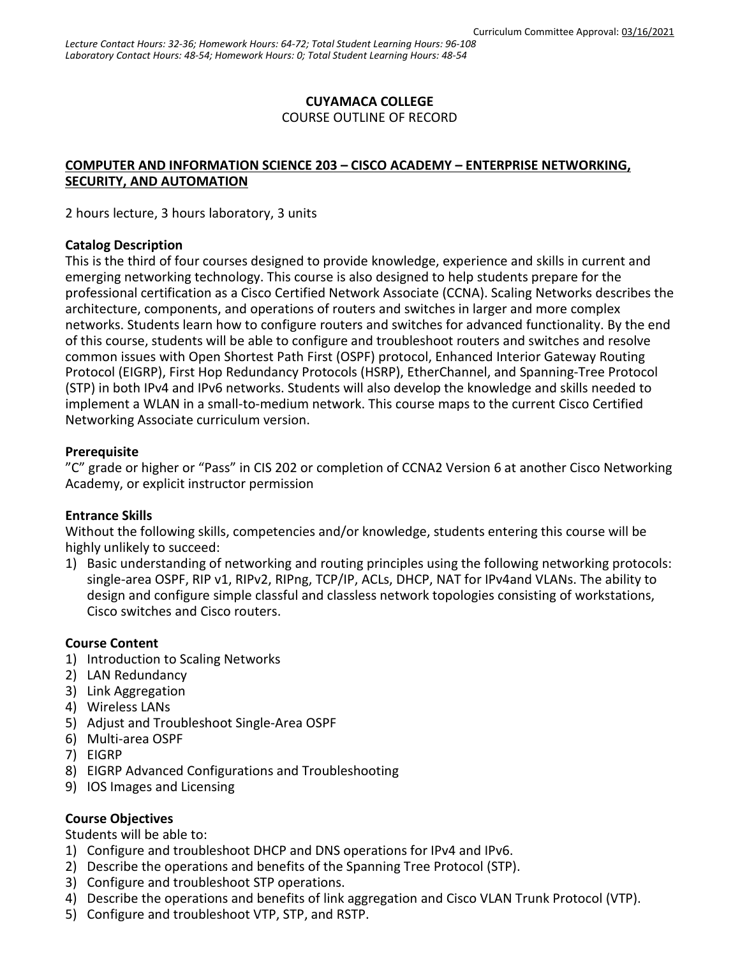## **CUYAMACA COLLEGE**

COURSE OUTLINE OF RECORD

### **COMPUTER AND INFORMATION SCIENCE 203 – CISCO ACADEMY – ENTERPRISE NETWORKING, SECURITY, AND AUTOMATION**

2 hours lecture, 3 hours laboratory, 3 units

#### **Catalog Description**

This is the third of four courses designed to provide knowledge, experience and skills in current and emerging networking technology. This course is also designed to help students prepare for the professional certification as a Cisco Certified Network Associate (CCNA). Scaling Networks describes the architecture, components, and operations of routers and switches in larger and more complex networks. Students learn how to configure routers and switches for advanced functionality. By the end of this course, students will be able to configure and troubleshoot routers and switches and resolve common issues with Open Shortest Path First (OSPF) protocol, Enhanced Interior Gateway Routing Protocol (EIGRP), First Hop Redundancy Protocols (HSRP), EtherChannel, and Spanning-Tree Protocol (STP) in both IPv4 and IPv6 networks. Students will also develop the knowledge and skills needed to implement a WLAN in a small-to-medium network. This course maps to the current Cisco Certified Networking Associate curriculum version.

### **Prerequisite**

"C" grade or higher or "Pass" in CIS 202 or completion of CCNA2 Version 6 at another Cisco Networking Academy, or explicit instructor permission

### **Entrance Skills**

Without the following skills, competencies and/or knowledge, students entering this course will be highly unlikely to succeed:

1) Basic understanding of networking and routing principles using the following networking protocols: single-area OSPF, RIP v1, RIPv2, RIPng, TCP/IP, ACLs, DHCP, NAT for IPv4and VLANs. The ability to design and configure simple classful and classless network topologies consisting of workstations, Cisco switches and Cisco routers.

#### **Course Content**

- 1) Introduction to Scaling Networks
- 2) LAN Redundancy
- 3) Link Aggregation
- 4) Wireless LANs
- 5) Adjust and Troubleshoot Single-Area OSPF
- 6) Multi-area OSPF
- 7) EIGRP
- 8) EIGRP Advanced Configurations and Troubleshooting
- 9) IOS Images and Licensing

### **Course Objectives**

Students will be able to:

- 1) Configure and troubleshoot DHCP and DNS operations for IPv4 and IPv6.
- 2) Describe the operations and benefits of the Spanning Tree Protocol (STP).
- 3) Configure and troubleshoot STP operations.
- 4) Describe the operations and benefits of link aggregation and Cisco VLAN Trunk Protocol (VTP).
- 5) Configure and troubleshoot VTP, STP, and RSTP.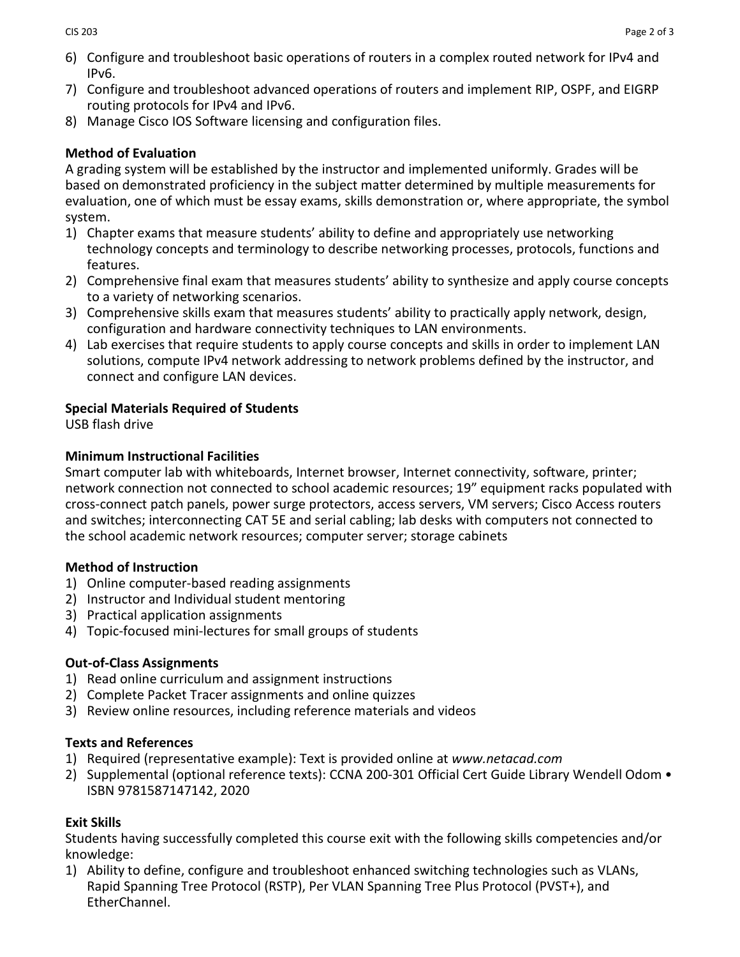- 6) Configure and troubleshoot basic operations of routers in a complex routed network for IPv4 and IPv6.
- 7) Configure and troubleshoot advanced operations of routers and implement RIP, OSPF, and EIGRP routing protocols for IPv4 and IPv6.
- 8) Manage Cisco IOS Software licensing and configuration files.

# **Method of Evaluation**

A grading system will be established by the instructor and implemented uniformly. Grades will be based on demonstrated proficiency in the subject matter determined by multiple measurements for evaluation, one of which must be essay exams, skills demonstration or, where appropriate, the symbol system.

- 1) Chapter exams that measure students' ability to define and appropriately use networking technology concepts and terminology to describe networking processes, protocols, functions and features.
- 2) Comprehensive final exam that measures students' ability to synthesize and apply course concepts to a variety of networking scenarios.
- 3) Comprehensive skills exam that measures students' ability to practically apply network, design, configuration and hardware connectivity techniques to LAN environments.
- 4) Lab exercises that require students to apply course concepts and skills in order to implement LAN solutions, compute IPv4 network addressing to network problems defined by the instructor, and connect and configure LAN devices.

# **Special Materials Required of Students**

USB flash drive

# **Minimum Instructional Facilities**

Smart computer lab with whiteboards, Internet browser, Internet connectivity, software, printer; network connection not connected to school academic resources; 19" equipment racks populated with cross-connect patch panels, power surge protectors, access servers, VM servers; Cisco Access routers and switches; interconnecting CAT 5E and serial cabling; lab desks with computers not connected to the school academic network resources; computer server; storage cabinets

# **Method of Instruction**

- 1) Online computer-based reading assignments
- 2) Instructor and Individual student mentoring
- 3) Practical application assignments
- 4) Topic-focused mini-lectures for small groups of students

# **Out-of-Class Assignments**

- 1) Read online curriculum and assignment instructions
- 2) Complete Packet Tracer assignments and online quizzes
- 3) Review online resources, including reference materials and videos

# **Texts and References**

- 1) Required (representative example): Text is provided online at *www.netacad.com*
- 2) Supplemental (optional reference texts): CCNA 200-301 [Official Cert Guide Library](https://www.ciscopress.com/store/ccna-200-301-official-cert-guide-library-9781587147142) Wendell Odom ISBN 9781587147142, 2020

# **Exit Skills**

Students having successfully completed this course exit with the following skills competencies and/or knowledge:

1) Ability to define, configure and troubleshoot enhanced switching technologies such as VLANs, Rapid Spanning Tree Protocol (RSTP), Per VLAN Spanning Tree Plus Protocol (PVST+), and EtherChannel.